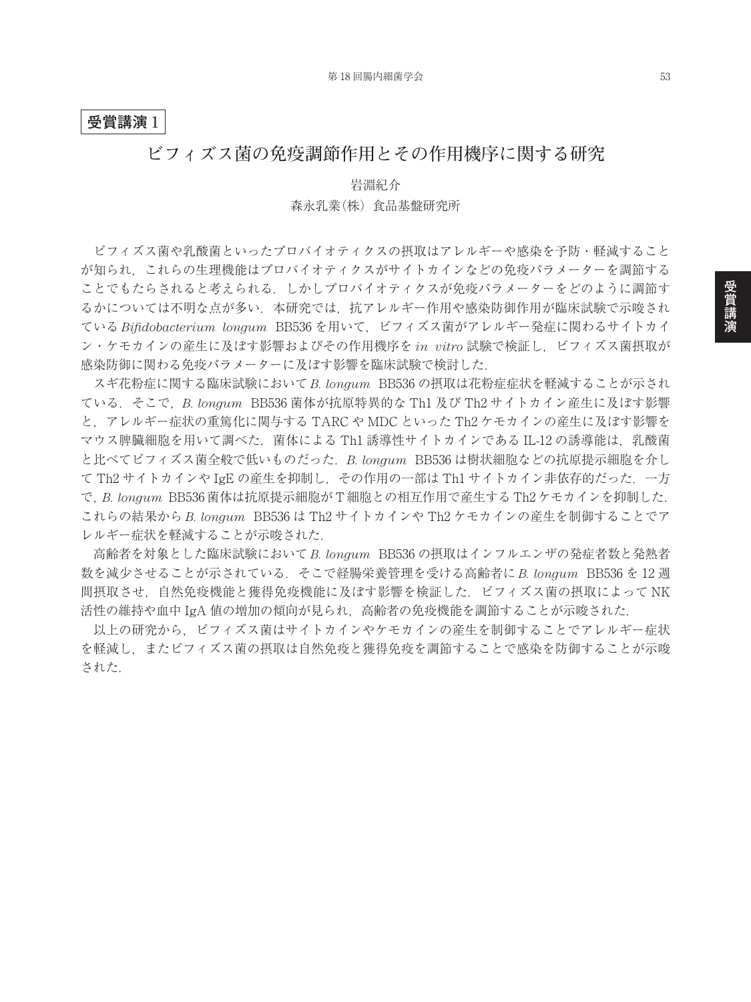## **受賞講演** 1

## **ビフィズス菌の免疫調節作用とその作用機序に関する研究**

岩淵紀介 森永乳業(株)食品基盤研究所

ビフィズス菌や乳酸菌といったプロバイオティクスの摂取はアレルギーや感染を予防・軽減すること が知られ,これらの生理機能はプロバイオティクスがサイトカインなどの免疫パラメーターを調節する ことでもたらされると考えられる.しかしプロバイオティクスが免疫パラメーターをどのように調節す るかについては不明な点が多い. 本研究では、抗アレルギー作用や感染防御作用が臨床試験で示唆され ている *Bifidobacterium longum* BB536 を用いて,ビフィズス菌がアレルギー発症に関わるサイトカイ ン・ケモカインの産生に及ぼす影響およびその作用機序を *in vitro* 試験で検証し,ビフィズス菌摂取が 感染防御に関わる免疫パラメーターに及ぼす影響を臨床試験で検討した.

スギ花粉症に関する臨床試験において *B. longum* BB536 の摂取は花粉症症状を軽減することが示され ている.そこで,*B. longum* BB536 菌体が抗原特異的な Th1 及び Th2 サイトカイン産生に及ぼす影響 と,アレルギー症状の重篤化に関与する TARC や MDC といった Th2 ケモカインの産生に及ぼす影響を マウス脾臓細胞を用いて調べた. 菌体による Th1 誘導性サイトカインである IL-12 の誘導能は, 乳酸菌 と比べてビフィズス菌全般で低いものだった.*B. longum* BB536 は樹状細胞などの抗原提示細胞を介し て Th2 サイトカインや IgE の産生を抑制し,その作用の一部は Th1 サイトカイン非依存的だった.一方 で,*B. longum* BB536 菌体は抗原提示細胞が T 細胞との相互作用で産生する Th2 ケモカインを抑制した. これらの結果から *B. longum* BB536 は Th2 サイトカインや Th2 ケモカインの産生を制御することでア レルギー症状を軽減することが示唆された.

高齢者を対象とした臨床試験において *B. longum* BB536 の摂取はインフルエンザの発症者数と発熱者 数を減少させることが示されている.そこで経腸栄養管理を受ける高齢者に *B. longum* BB536 を 12 週 間摂取させ,自然免疫機能と獲得免疫機能に及ぼす影響を検証した.ビフィズス菌の摂取によって NK 活性の維持や血中 IgA 値の増加の傾向が見られ,高齢者の免疫機能を調節することが示唆された.

以上の研究から,ビフィズス菌はサイトカインやケモカインの産生を制御することでアレルギー症状 を軽減し,またビフィズス菌の摂取は自然免疫と獲得免疫を調節することで感染を防御することが示唆 された.